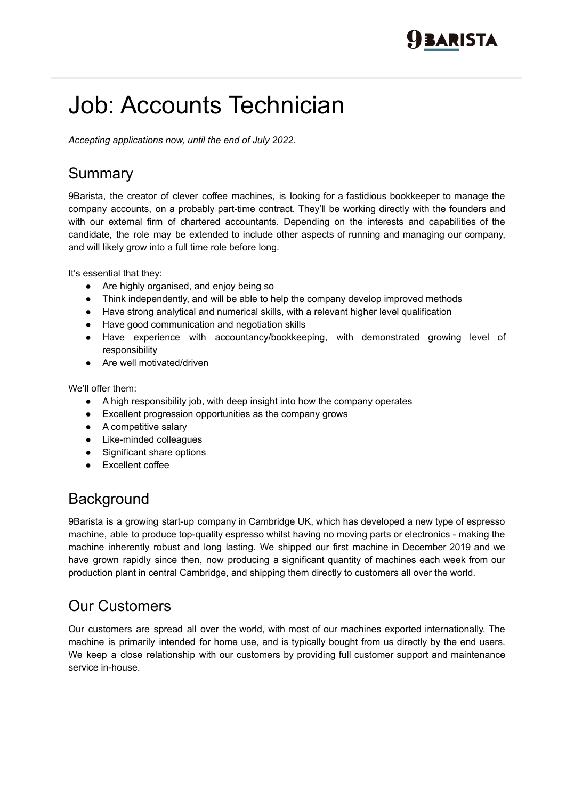

# Job: Accounts Technician

*Accepting applications now, until the end of July 2022.*

### Summary

9Barista, the creator of clever coffee machines, is looking for a fastidious bookkeeper to manage the company accounts, on a probably part-time contract. They'll be working directly with the founders and with our external firm of chartered accountants. Depending on the interests and capabilities of the candidate, the role may be extended to include other aspects of running and managing our company, and will likely grow into a full time role before long.

It's essential that they:

- Are highly organised, and enjoy being so
- Think independently, and will be able to help the company develop improved methods
- Have strong analytical and numerical skills, with a relevant higher level qualification
- Have good communication and negotiation skills
- Have experience with accountancy/bookkeeping, with demonstrated growing level of responsibility
- Are well motivated/driven

We'll offer them:

- A high responsibility job, with deep insight into how the company operates
- Excellent progression opportunities as the company grows
- A competitive salary
- Like-minded colleagues
- Significant share options
- Excellent coffee

#### **Background**

9Barista is a growing start-up company in Cambridge UK, which has developed a new type of espresso machine, able to produce top-quality espresso whilst having no moving parts or electronics - making the machine inherently robust and long lasting. We shipped our first machine in December 2019 and we have grown rapidly since then, now producing a significant quantity of machines each week from our production plant in central Cambridge, and shipping them directly to customers all over the world.

## Our Customers

Our customers are spread all over the world, with most of our machines exported internationally. The machine is primarily intended for home use, and is typically bought from us directly by the end users. We keep a close relationship with our customers by providing full customer support and maintenance service in-house.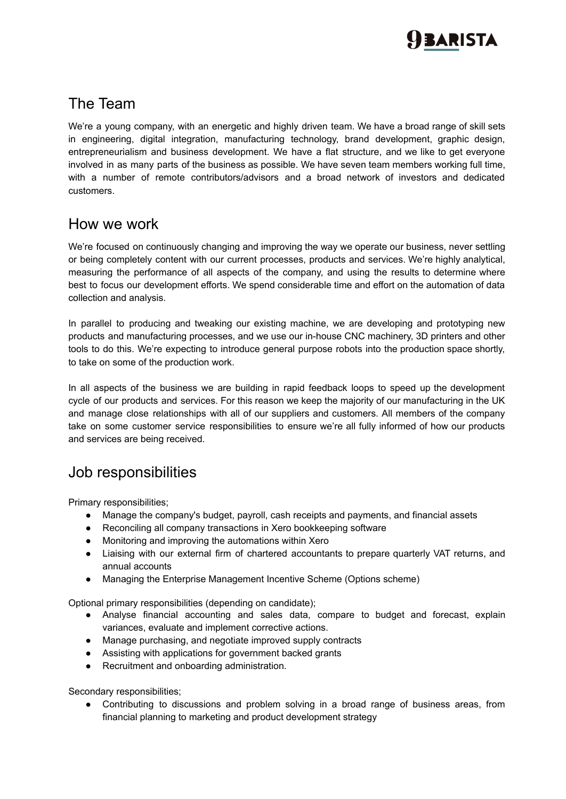

## The Team

We're a young company, with an energetic and highly driven team. We have a broad range of skill sets in engineering, digital integration, manufacturing technology, brand development, graphic design, entrepreneurialism and business development. We have a flat structure, and we like to get everyone involved in as many parts of the business as possible. We have seven team members working full time, with a number of remote contributors/advisors and a broad network of investors and dedicated customers.

#### How we work

We're focused on continuously changing and improving the way we operate our business, never settling or being completely content with our current processes, products and services. We're highly analytical, measuring the performance of all aspects of the company, and using the results to determine where best to focus our development efforts. We spend considerable time and effort on the automation of data collection and analysis.

In parallel to producing and tweaking our existing machine, we are developing and prototyping new products and manufacturing processes, and we use our in-house CNC machinery, 3D printers and other tools to do this. We're expecting to introduce general purpose robots into the production space shortly, to take on some of the production work.

In all aspects of the business we are building in rapid feedback loops to speed up the development cycle of our products and services. For this reason we keep the majority of our manufacturing in the UK and manage close relationships with all of our suppliers and customers. All members of the company take on some customer service responsibilities to ensure we're all fully informed of how our products and services are being received.

#### Job responsibilities

Primary responsibilities;

- Manage the company's budget, payroll, cash receipts and payments, and financial assets
- Reconciling all company transactions in Xero bookkeeping software
- Monitoring and improving the automations within Xero
- Liaising with our external firm of chartered accountants to prepare quarterly VAT returns, and annual accounts
- Managing the Enterprise Management Incentive Scheme (Options scheme)

Optional primary responsibilities (depending on candidate);

- Analyse financial accounting and sales data, compare to budget and forecast, explain variances, evaluate and implement corrective actions.
- Manage purchasing, and negotiate improved supply contracts
- Assisting with applications for government backed grants
- Recruitment and onboarding administration.

Secondary responsibilities;

● Contributing to discussions and problem solving in a broad range of business areas, from financial planning to marketing and product development strategy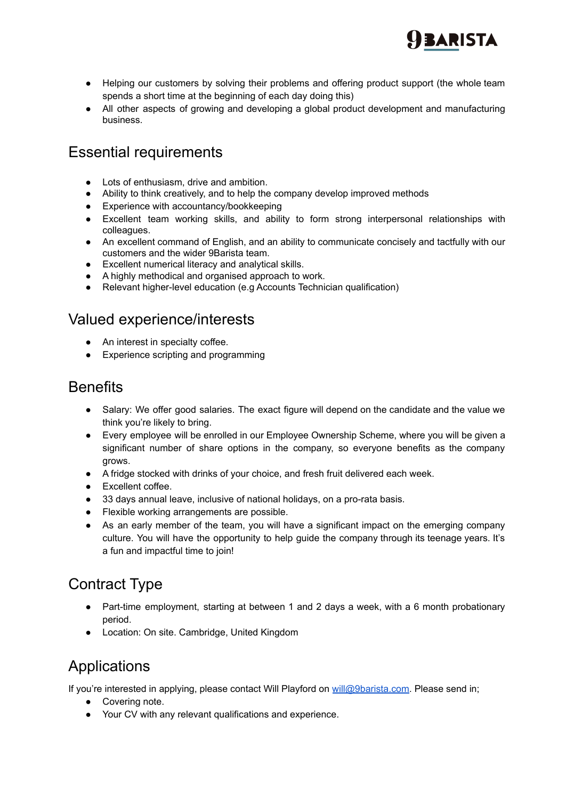

- Helping our customers by solving their problems and offering product support (the whole team spends a short time at the beginning of each day doing this)
- All other aspects of growing and developing a global product development and manufacturing business.

#### Essential requirements

- Lots of enthusiasm, drive and ambition.
- Ability to think creatively, and to help the company develop improved methods
- Experience with accountancy/bookkeeping
- Excellent team working skills, and ability to form strong interpersonal relationships with colleagues.
- An excellent command of English, and an ability to communicate concisely and tactfully with our customers and the wider 9Barista team.
- Excellent numerical literacy and analytical skills.
- A highly methodical and organised approach to work.
- Relevant higher-level education (e.g Accounts Technician qualification)

#### Valued experience/interests

- An interest in specialty coffee.
- Experience scripting and programming

#### **Benefits**

- Salary: We offer good salaries. The exact figure will depend on the candidate and the value we think you're likely to bring.
- Every employee will be enrolled in our Employee Ownership Scheme, where you will be given a significant number of share options in the company, so everyone benefits as the company grows.
- A fridge stocked with drinks of your choice, and fresh fruit delivered each week.
- Excellent coffee.
- 33 days annual leave, inclusive of national holidays, on a pro-rata basis.
- Flexible working arrangements are possible.
- As an early member of the team, you will have a significant impact on the emerging company culture. You will have the opportunity to help guide the company through its teenage years. It's a fun and impactful time to join!

## Contract Type

- Part-time employment, starting at between 1 and 2 days a week, with a 6 month probationary period.
- Location: On site. Cambridge, United Kingdom

## Applications

If you're interested in applying, please contact Will Playford on [will@9barista.com](mailto:will@9barista.com). Please send in;

- Covering note.
- Your CV with any relevant qualifications and experience.